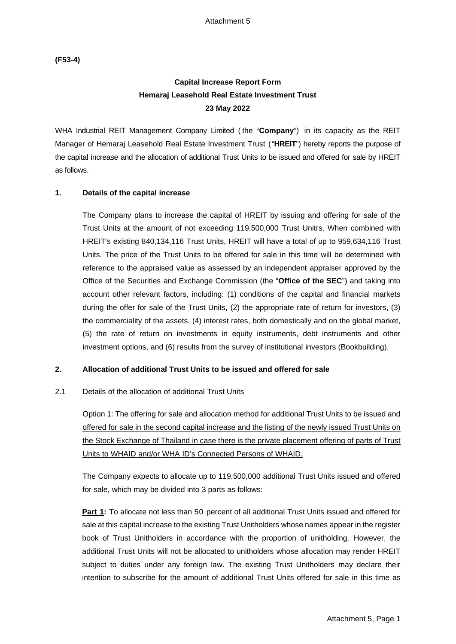**(F53-4)**

# **Capital Increase Report Form Hemaraj Leasehold Real Estate Investment Trust 23 May 2022**

WHA Industrial REIT Management Company Limited ( the "**Company**") in its capacity as the REIT Manager of Hemaraj Leasehold Real Estate Investment Trust ("**HREIT**") hereby reports the purpose of the capital increase and the allocation of additional Trust Units to be issued and offered for sale by HREIT as follows.

#### **1. Details of the capital increase**

The Company plans to increase the capital of HREIT by issuing and offering for sale of the Trust Units at the amount of not exceeding 119,500,000 Trust Unitrs. When combined with HREIT's existing 840,134,116 Trust Units, HREIT will have a total of up to 959,634,116 Trust Units. The price of the Trust Units to be offered for sale in this time will be determined with reference to the appraised value as assessed by an independent appraiser approved by the Office of the Securities and Exchange Commission (the "**Office of the SEC**") and taking into account other relevant factors, including: (1) conditions of the capital and financial markets during the offer for sale of the Trust Units, (2) the appropriate rate of return for investors, (3) the commerciality of the assets, (4) interest rates, both domestically and on the global market, (5) the rate of return on investments in equity instruments, debt instruments and other investment options, and (6) results from the survey of institutional investors (Bookbuilding).

### **2. Allocation of additional Trust Units to be issued and offered for sale**

### 2.1 Details of the allocation of additional Trust Units

Option 1: The offering for sale and allocation method for additional Trust Units to be issued and offered for sale in the second capital increase and the listing of the newly issued Trust Units on the Stock Exchange of Thailand in case there is the private placement offering of parts of Trust Units to WHAID and/or WHA ID's Connected Persons of WHAID.

The Company expects to allocate up to 119,500,000 additional Trust Units issued and offered for sale, which may be divided into 3 parts as follows:

**Part 1:** To allocate not less than 50 percent of all additional Trust Units issued and offered for sale at this capital increase to the existing Trust Unitholders whose names appear in the register book of Trust Unitholders in accordance with the proportion of unitholding. However, the additional Trust Units will not be allocated to unitholders whose allocation may render HREIT subject to duties under any foreign law. The existing Trust Unitholders may declare their intention to subscribe for the amount of additional Trust Units offered for sale in this time as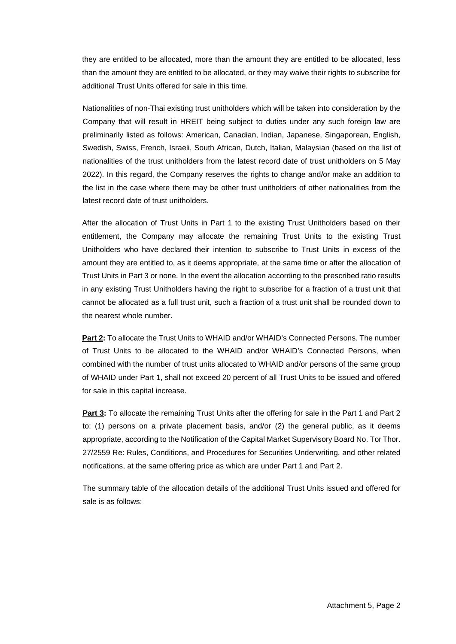they are entitled to be allocated, more than the amount they are entitled to be allocated, less than the amount they are entitled to be allocated, or they may waive their rights to subscribe for additional Trust Units offered for sale in this time.

Nationalities of non-Thai existing trust unitholders which will be taken into consideration by the Company that will result in HREIT being subject to duties under any such foreign law are preliminarily listed as follows: American, Canadian, Indian, Japanese, Singaporean, English, Swedish, Swiss, French, Israeli, South African, Dutch, Italian, Malaysian (based on the list of nationalities of the trust unitholders from the latest record date of trust unitholders on 5 May 2022). In this regard, the Company reserves the rights to change and/or make an addition to the list in the case where there may be other trust unitholders of other nationalities from the latest record date of trust unitholders.

After the allocation of Trust Units in Part 1 to the existing Trust Unitholders based on their entitlement, the Company may allocate the remaining Trust Units to the existing Trust Unitholders who have declared their intention to subscribe to Trust Units in excess of the amount they are entitled to, as it deems appropriate, at the same time or after the allocation of Trust Units in Part 3 or none. In the event the allocation according to the prescribed ratio results in any existing Trust Unitholders having the right to subscribe for a fraction of a trust unit that cannot be allocated as a full trust unit, such a fraction of a trust unit shall be rounded down to the nearest whole number.

**Part 2:** To allocate the Trust Units to WHAID and/or WHAID's Connected Persons. The number of Trust Units to be allocated to the WHAID and/or WHAID's Connected Persons, when combined with the number of trust units allocated to WHAID and/or persons of the same group of WHAID under Part 1, shall not exceed 20 percent of all Trust Units to be issued and offered for sale in this capital increase.

**Part 3:** To allocate the remaining Trust Units after the offering for sale in the Part 1 and Part 2 to: (1) persons on a private placement basis, and/or (2) the general public, as it deems appropriate, according to the Notification of the Capital Market Supervisory Board No. Tor Thor. 27/2559 Re: Rules, Conditions, and Procedures for Securities Underwriting, and other related notifications, at the same offering price as which are under Part 1 and Part 2.

The summary table of the allocation details of the additional Trust Units issued and offered for sale is as follows: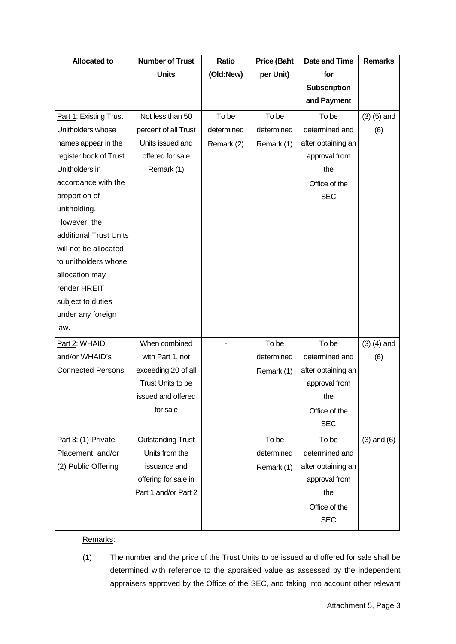| <b>Allocated to</b>      | <b>Number of Trust</b>   | <b>Ratio</b> | <b>Price (Baht</b> | <b>Date and Time</b> | <b>Remarks</b>  |
|--------------------------|--------------------------|--------------|--------------------|----------------------|-----------------|
|                          | <b>Units</b>             | (Old:New)    | per Unit)          | for                  |                 |
|                          |                          |              |                    | <b>Subscription</b>  |                 |
|                          |                          |              |                    | and Payment          |                 |
| Part 1: Existing Trust   | Not less than 50         | To be        | To be              | To be                | $(3)$ $(5)$ and |
| Unitholders whose        | percent of all Trust     | determined   | determined         | determined and       | (6)             |
| names appear in the      | Units issued and         | Remark (2)   | Remark (1)         | after obtaining an   |                 |
| register book of Trust   | offered for sale         |              |                    | approval from        |                 |
| Unitholders in           | Remark (1)               |              |                    | the                  |                 |
| accordance with the      |                          |              |                    | Office of the        |                 |
| proportion of            |                          |              |                    | <b>SEC</b>           |                 |
| unitholding.             |                          |              |                    |                      |                 |
| However, the             |                          |              |                    |                      |                 |
| additional Trust Units   |                          |              |                    |                      |                 |
| will not be allocated    |                          |              |                    |                      |                 |
| to unitholders whose     |                          |              |                    |                      |                 |
| allocation may           |                          |              |                    |                      |                 |
| render HREIT             |                          |              |                    |                      |                 |
| subject to duties        |                          |              |                    |                      |                 |
| under any foreign        |                          |              |                    |                      |                 |
| law.                     |                          |              |                    |                      |                 |
| Part 2: WHAID            | When combined            |              | To be              | To be                | $(3)$ $(4)$ and |
| and/or WHAID's           | with Part 1, not         |              | determined         | determined and       | (6)             |
| <b>Connected Persons</b> | exceeding 20 of all      |              | Remark (1)         | after obtaining an   |                 |
|                          | Trust Units to be        |              |                    | approval from        |                 |
|                          | issued and offered       |              |                    | the                  |                 |
|                          | for sale                 |              |                    | Office of the        |                 |
|                          |                          |              |                    | <b>SEC</b>           |                 |
| Part 3: (1) Private      | <b>Outstanding Trust</b> |              | To be              | To be                | $(3)$ and $(6)$ |
| Placement, and/or        | Units from the           |              | determined         | determined and       |                 |
| (2) Public Offering      | issuance and             |              | Remark (1)         | after obtaining an   |                 |
|                          | offering for sale in     |              |                    | approval from        |                 |
|                          | Part 1 and/or Part 2     |              |                    | the                  |                 |
|                          |                          |              |                    | Office of the        |                 |
|                          |                          |              |                    | <b>SEC</b>           |                 |

### Remarks:

(1) The number and the price of the Trust Units to be issued and offered for sale shall be determined with reference to the appraised value as assessed by the independent appraisers approved by the Office of the SEC, and taking into account other relevant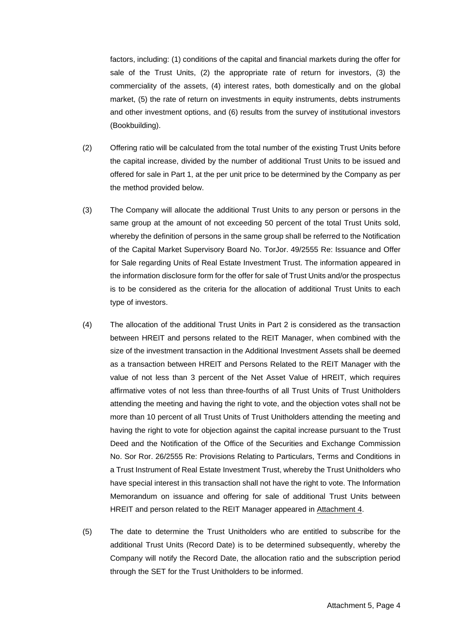factors, including: (1) conditions of the capital and financial markets during the offer for sale of the Trust Units, (2) the appropriate rate of return for investors, (3) the commerciality of the assets, (4) interest rates, both domestically and on the global market, (5) the rate of return on investments in equity instruments, debts instruments and other investment options, and (6) results from the survey of institutional investors (Bookbuilding).

- (2) Offering ratio will be calculated from the total number of the existing Trust Units before the capital increase, divided by the number of additional Trust Units to be issued and offered for sale in Part 1, at the per unit price to be determined by the Company as per the method provided below.
- (3) The Company will allocate the additional Trust Units to any person or persons in the same group at the amount of not exceeding 50 percent of the total Trust Units sold, whereby the definition of persons in the same group shall be referred to the Notification of the Capital Market Supervisory Board No. TorJor. 49/2555 Re: Issuance and Offer for Sale regarding Units of Real Estate Investment Trust. The information appeared in the information disclosure form for the offer for sale of Trust Units and/or the prospectus is to be considered as the criteria for the allocation of additional Trust Units to each type of investors.
- (4) The allocation of the additional Trust Units in Part 2 is considered as the transaction between HREIT and persons related to the REIT Manager, when combined with the size of the investment transaction in the Additional Investment Assets shall be deemed as a transaction between HREIT and Persons Related to the REIT Manager with the value of not less than 3 percent of the Net Asset Value of HREIT, which requires affirmative votes of not less than three-fourths of all Trust Units of Trust Unitholders attending the meeting and having the right to vote, and the objection votes shall not be more than 10 percent of all Trust Units of Trust Unitholders attending the meeting and having the right to vote for objection against the capital increase pursuant to the Trust Deed and the Notification of the Office of the Securities and Exchange Commission No. Sor Ror. 26/2555 Re: Provisions Relating to Particulars, Terms and Conditions in a Trust Instrument of Real Estate Investment Trust, whereby the Trust Unitholders who have special interest in this transaction shall not have the right to vote. The Information Memorandum on issuance and offering for sale of additional Trust Units between HREIT and person related to the REIT Manager appeared in Attachment 4.
- (5) The date to determine the Trust Unitholders who are entitled to subscribe for the additional Trust Units (Record Date) is to be determined subsequently, whereby the Company will notify the Record Date, the allocation ratio and the subscription period through the SET for the Trust Unitholders to be informed.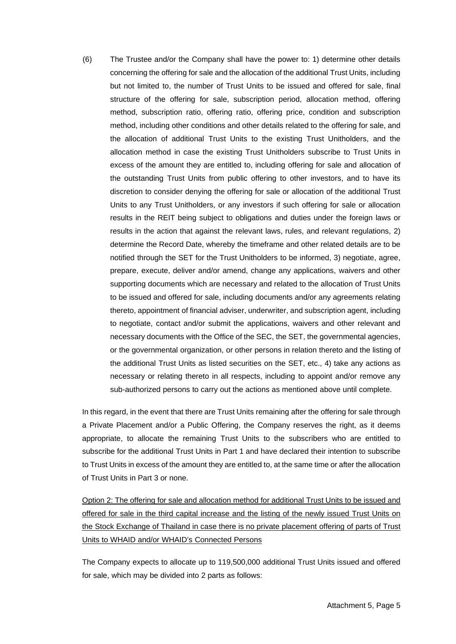(6) The Trustee and/or the Company shall have the power to: 1) determine other details concerning the offering for sale and the allocation of the additional Trust Units, including but not limited to, the number of Trust Units to be issued and offered for sale, final structure of the offering for sale, subscription period, allocation method, offering method, subscription ratio, offering ratio, offering price, condition and subscription method, including other conditions and other details related to the offering for sale, and the allocation of additional Trust Units to the existing Trust Unitholders, and the allocation method in case the existing Trust Unitholders subscribe to Trust Units in excess of the amount they are entitled to, including offering for sale and allocation of the outstanding Trust Units from public offering to other investors, and to have its discretion to consider denying the offering for sale or allocation of the additional Trust Units to any Trust Unitholders, or any investors if such offering for sale or allocation results in the REIT being subject to obligations and duties under the foreign laws or results in the action that against the relevant laws, rules, and relevant regulations, 2) determine the Record Date, whereby the timeframe and other related details are to be notified through the SET for the Trust Unitholders to be informed, 3) negotiate, agree, prepare, execute, deliver and/or amend, change any applications, waivers and other supporting documents which are necessary and related to the allocation of Trust Units to be issued and offered for sale, including documents and/or any agreements relating thereto, appointment of financial adviser, underwriter, and subscription agent, including to negotiate, contact and/or submit the applications, waivers and other relevant and necessary documents with the Office of the SEC, the SET, the governmental agencies, or the governmental organization, or other persons in relation thereto and the listing of the additional Trust Units as listed securities on the SET, etc., 4) take any actions as necessary or relating thereto in all respects, including to appoint and/or remove any sub-authorized persons to carry out the actions as mentioned above until complete.

In this regard, in the event that there are Trust Units remaining after the offering for sale through a Private Placement and/or a Public Offering, the Company reserves the right, as it deems appropriate, to allocate the remaining Trust Units to the subscribers who are entitled to subscribe for the additional Trust Units in Part 1 and have declared their intention to subscribe to Trust Units in excess of the amount they are entitled to, at the same time or after the allocation of Trust Units in Part 3 or none.

Option 2: The offering for sale and allocation method for additional Trust Units to be issued and offered for sale in the third capital increase and the listing of the newly issued Trust Units on the Stock Exchange of Thailand in case there is no private placement offering of parts of Trust Units to WHAID and/or WHAID's Connected Persons

The Company expects to allocate up to 119,500,000 additional Trust Units issued and offered for sale, which may be divided into 2 parts as follows: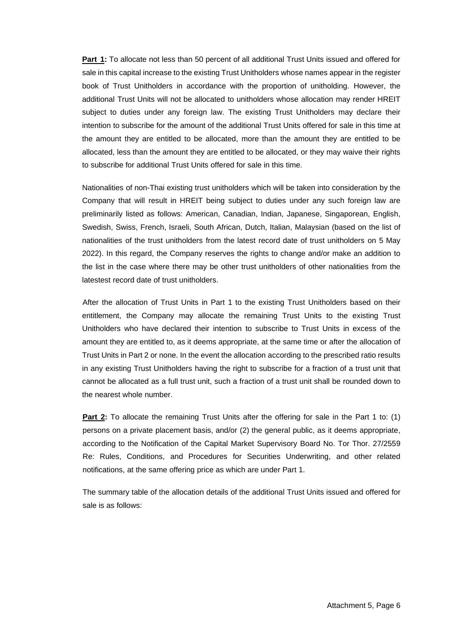**Part 1:** To allocate not less than 50 percent of all additional Trust Units issued and offered for sale in this capital increase to the existing Trust Unitholders whose names appear in the register book of Trust Unitholders in accordance with the proportion of unitholding. However, the additional Trust Units will not be allocated to unitholders whose allocation may render HREIT subject to duties under any foreign law. The existing Trust Unitholders may declare their intention to subscribe for the amount of the additional Trust Units offered for sale in this time at the amount they are entitled to be allocated, more than the amount they are entitled to be allocated, less than the amount they are entitled to be allocated, or they may waive their rights to subscribe for additional Trust Units offered for sale in this time.

Nationalities of non-Thai existing trust unitholders which will be taken into consideration by the Company that will result in HREIT being subject to duties under any such foreign law are preliminarily listed as follows: American, Canadian, Indian, Japanese, Singaporean, English, Swedish, Swiss, French, Israeli, South African, Dutch, Italian, Malaysian (based on the list of nationalities of the trust unitholders from the latest record date of trust unitholders on 5 May 2022). In this regard, the Company reserves the rights to change and/or make an addition to the list in the case where there may be other trust unitholders of other nationalities from the latestest record date of trust unitholders.

After the allocation of Trust Units in Part 1 to the existing Trust Unitholders based on their entitlement, the Company may allocate the remaining Trust Units to the existing Trust Unitholders who have declared their intention to subscribe to Trust Units in excess of the amount they are entitled to, as it deems appropriate, at the same time or after the allocation of Trust Units in Part 2 or none. In the event the allocation according to the prescribed ratio results in any existing Trust Unitholders having the right to subscribe for a fraction of a trust unit that cannot be allocated as a full trust unit, such a fraction of a trust unit shall be rounded down to the nearest whole number.

**Part 2:** To allocate the remaining Trust Units after the offering for sale in the Part 1 to: (1) persons on a private placement basis, and/or (2) the general public, as it deems appropriate, according to the Notification of the Capital Market Supervisory Board No. Tor Thor. 27/2559 Re: Rules, Conditions, and Procedures for Securities Underwriting, and other related notifications, at the same offering price as which are under Part 1.

The summary table of the allocation details of the additional Trust Units issued and offered for sale is as follows: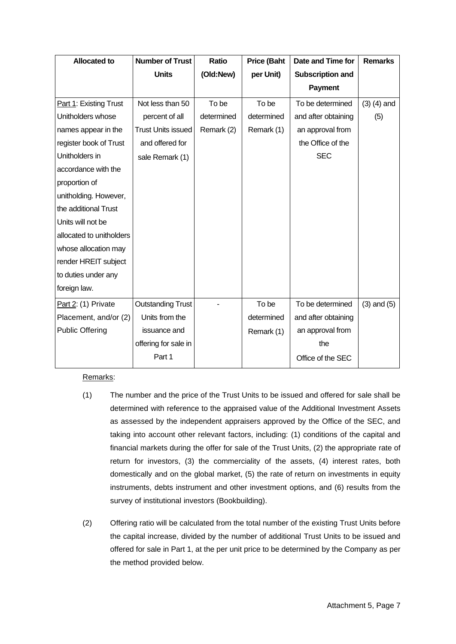| <b>Allocated to</b>      | <b>Number of Trust</b>    | Ratio      | <b>Price (Baht</b> | Date and Time for       | <b>Remarks</b>  |
|--------------------------|---------------------------|------------|--------------------|-------------------------|-----------------|
|                          | <b>Units</b>              | (Old:New)  | per Unit)          | <b>Subscription and</b> |                 |
|                          |                           |            |                    | <b>Payment</b>          |                 |
| Part 1: Existing Trust   | Not less than 50          | To be      | To be              | To be determined        | $(3)$ $(4)$ and |
| Unitholders whose        | percent of all            | determined | determined         | and after obtaining     | (5)             |
| names appear in the      | <b>Trust Units issued</b> | Remark (2) | Remark (1)         | an approval from        |                 |
| register book of Trust   | and offered for           |            |                    | the Office of the       |                 |
| Unitholders in           | sale Remark (1)           |            |                    | <b>SEC</b>              |                 |
| accordance with the      |                           |            |                    |                         |                 |
| proportion of            |                           |            |                    |                         |                 |
| unitholding. However,    |                           |            |                    |                         |                 |
| the additional Trust     |                           |            |                    |                         |                 |
| Units will not be        |                           |            |                    |                         |                 |
| allocated to unitholders |                           |            |                    |                         |                 |
| whose allocation may     |                           |            |                    |                         |                 |
| render HREIT subject     |                           |            |                    |                         |                 |
| to duties under any      |                           |            |                    |                         |                 |
| foreign law.             |                           |            |                    |                         |                 |
| Part 2: (1) Private      | <b>Outstanding Trust</b>  |            | To be              | To be determined        | $(3)$ and $(5)$ |
| Placement, and/or (2)    | Units from the            |            | determined         | and after obtaining     |                 |
| <b>Public Offering</b>   | issuance and              |            | Remark (1)         | an approval from        |                 |
|                          | offering for sale in      |            |                    | the                     |                 |
|                          | Part 1                    |            |                    | Office of the SEC       |                 |

### Remarks:

- (1) The number and the price of the Trust Units to be issued and offered for sale shall be determined with reference to the appraised value of the Additional Investment Assets as assessed by the independent appraisers approved by the Office of the SEC, and taking into account other relevant factors, including: (1) conditions of the capital and financial markets during the offer for sale of the Trust Units, (2) the appropriate rate of return for investors, (3) the commerciality of the assets, (4) interest rates, both domestically and on the global market, (5) the rate of return on investments in equity instruments, debts instrument and other investment options, and (6) results from the survey of institutional investors (Bookbuilding).
- (2) Offering ratio will be calculated from the total number of the existing Trust Units before the capital increase, divided by the number of additional Trust Units to be issued and offered for sale in Part 1, at the per unit price to be determined by the Company as per the method provided below.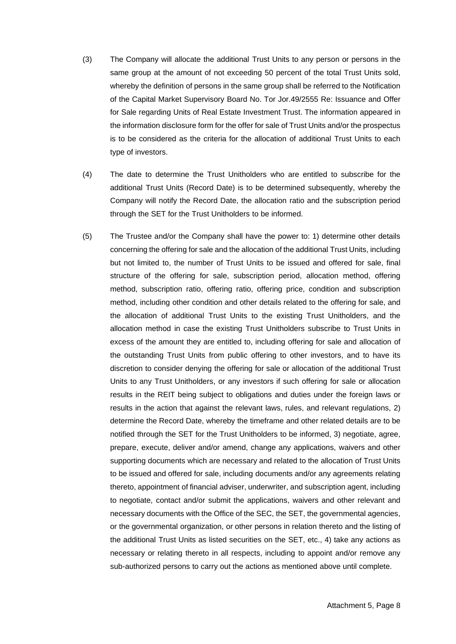- (3) The Company will allocate the additional Trust Units to any person or persons in the same group at the amount of not exceeding 50 percent of the total Trust Units sold, whereby the definition of persons in the same group shall be referred to the Notification of the Capital Market Supervisory Board No. Tor Jor.49/2555 Re: Issuance and Offer for Sale regarding Units of Real Estate Investment Trust. The information appeared in the information disclosure form for the offer for sale of Trust Units and/or the prospectus is to be considered as the criteria for the allocation of additional Trust Units to each type of investors.
- (4) The date to determine the Trust Unitholders who are entitled to subscribe for the additional Trust Units (Record Date) is to be determined subsequently, whereby the Company will notify the Record Date, the allocation ratio and the subscription period through the SET for the Trust Unitholders to be informed.
- (5) The Trustee and/or the Company shall have the power to: 1) determine other details concerning the offering for sale and the allocation of the additional Trust Units, including but not limited to, the number of Trust Units to be issued and offered for sale, final structure of the offering for sale, subscription period, allocation method, offering method, subscription ratio, offering ratio, offering price, condition and subscription method, including other condition and other details related to the offering for sale, and the allocation of additional Trust Units to the existing Trust Unitholders, and the allocation method in case the existing Trust Unitholders subscribe to Trust Units in excess of the amount they are entitled to, including offering for sale and allocation of the outstanding Trust Units from public offering to other investors, and to have its discretion to consider denying the offering for sale or allocation of the additional Trust Units to any Trust Unitholders, or any investors if such offering for sale or allocation results in the REIT being subject to obligations and duties under the foreign laws or results in the action that against the relevant laws, rules, and relevant regulations, 2) determine the Record Date, whereby the timeframe and other related details are to be notified through the SET for the Trust Unitholders to be informed, 3) negotiate, agree, prepare, execute, deliver and/or amend, change any applications, waivers and other supporting documents which are necessary and related to the allocation of Trust Units to be issued and offered for sale, including documents and/or any agreements relating thereto, appointment of financial adviser, underwriter, and subscription agent, including to negotiate, contact and/or submit the applications, waivers and other relevant and necessary documents with the Office of the SEC, the SET, the governmental agencies, or the governmental organization, or other persons in relation thereto and the listing of the additional Trust Units as listed securities on the SET, etc., 4) take any actions as necessary or relating thereto in all respects, including to appoint and/or remove any sub-authorized persons to carry out the actions as mentioned above until complete.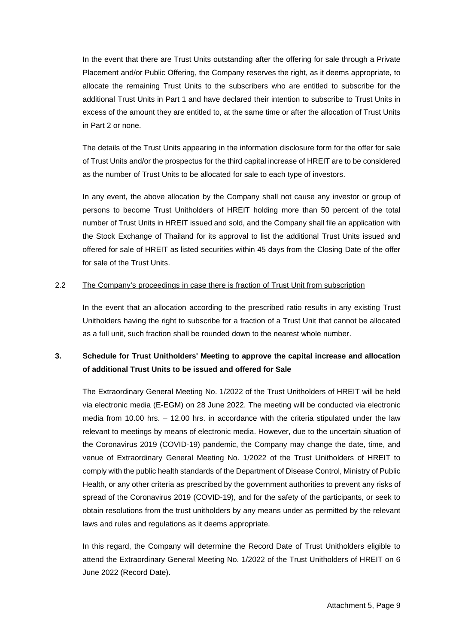In the event that there are Trust Units outstanding after the offering for sale through a Private Placement and/or Public Offering, the Company reserves the right, as it deems appropriate, to allocate the remaining Trust Units to the subscribers who are entitled to subscribe for the additional Trust Units in Part 1 and have declared their intention to subscribe to Trust Units in excess of the amount they are entitled to, at the same time or after the allocation of Trust Units in Part 2 or none.

The details of the Trust Units appearing in the information disclosure form for the offer for sale of Trust Units and/or the prospectus for the third capital increase of HREIT are to be considered as the number of Trust Units to be allocated for sale to each type of investors.

In any event, the above allocation by the Company shall not cause any investor or group of persons to become Trust Unitholders of HREIT holding more than 50 percent of the total number of Trust Units in HREIT issued and sold, and the Company shall file an application with the Stock Exchange of Thailand for its approval to list the additional Trust Units issued and offered for sale of HREIT as listed securities within 45 days from the Closing Date of the offer for sale of the Trust Units.

#### 2.2 The Company's proceedings in case there is fraction of Trust Unit from subscription

In the event that an allocation according to the prescribed ratio results in any existing Trust Unitholders having the right to subscribe for a fraction of a Trust Unit that cannot be allocated as a full unit, such fraction shall be rounded down to the nearest whole number.

## **3. Schedule for Trust Unitholders' Meeting to approve the capital increase and allocation of additional Trust Units to be issued and offered for Sale**

The Extraordinary General Meeting No. 1/2022 of the Trust Unitholders of HREIT will be held via electronic media (E-EGM) on 28 June 2022. The meeting will be conducted via electronic media from 10.00 hrs. – 12.00 hrs. in accordance with the criteria stipulated under the law relevant to meetings by means of electronic media. However, due to the uncertain situation of the Coronavirus 2019 (COVID-19) pandemic, the Company may change the date, time, and venue of Extraordinary General Meeting No. 1/2022 of the Trust Unitholders of HREIT to comply with the public health standards of the Department of Disease Control, Ministry of Public Health, or any other criteria as prescribed by the government authorities to prevent any risks of spread of the Coronavirus 2019 (COVID-19), and for the safety of the participants, or seek to obtain resolutions from the trust unitholders by any means under as permitted by the relevant laws and rules and regulations as it deems appropriate.

In this regard, the Company will determine the Record Date of Trust Unitholders eligible to attend the Extraordinary General Meeting No. 1/2022 of the Trust Unitholders of HREIT on 6 June 2022 (Record Date).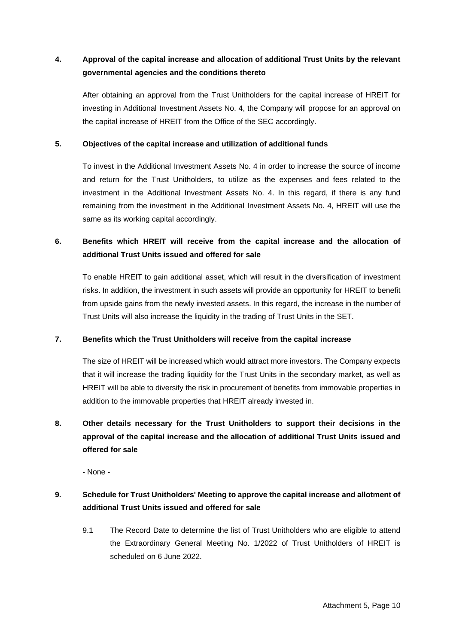## **4. Approval of the capital increase and allocation of additional Trust Units by the relevant governmental agencies and the conditions thereto**

After obtaining an approval from the Trust Unitholders for the capital increase of HREIT for investing in Additional Investment Assets No. 4, the Company will propose for an approval on the capital increase of HREIT from the Office of the SEC accordingly.

### **5. Objectives of the capital increase and utilization of additional funds**

To invest in the Additional Investment Assets No. 4 in order to increase the source of income and return for the Trust Unitholders, to utilize as the expenses and fees related to the investment in the Additional Investment Assets No. 4. In this regard, if there is any fund remaining from the investment in the Additional Investment Assets No. 4, HREIT will use the same as its working capital accordingly.

## **6. Benefits which HREIT will receive from the capital increase and the allocation of additional Trust Units issued and offered for sale**

To enable HREIT to gain additional asset, which will result in the diversification of investment risks. In addition, the investment in such assets will provide an opportunity for HREIT to benefit from upside gains from the newly invested assets. In this regard, the increase in the number of Trust Units will also increase the liquidity in the trading of Trust Units in the SET.

### **7. Benefits which the Trust Unitholders will receive from the capital increase**

The size of HREIT will be increased which would attract more investors. The Company expects that it will increase the trading liquidity for the Trust Units in the secondary market, as well as HREIT will be able to diversify the risk in procurement of benefits from immovable properties in addition to the immovable properties that HREIT already invested in.

# **8. Other details necessary for the Trust Unitholders to support their decisions in the approval of the capital increase and the allocation of additional Trust Units issued and offered for sale**

- None -

## **9. Schedule for Trust Unitholders' Meeting to approve the capital increase and allotment of additional Trust Units issued and offered for sale**

9.1 The Record Date to determine the list of Trust Unitholders who are eligible to attend the Extraordinary General Meeting No. 1/2022 of Trust Unitholders of HREIT is scheduled on 6 June 2022.